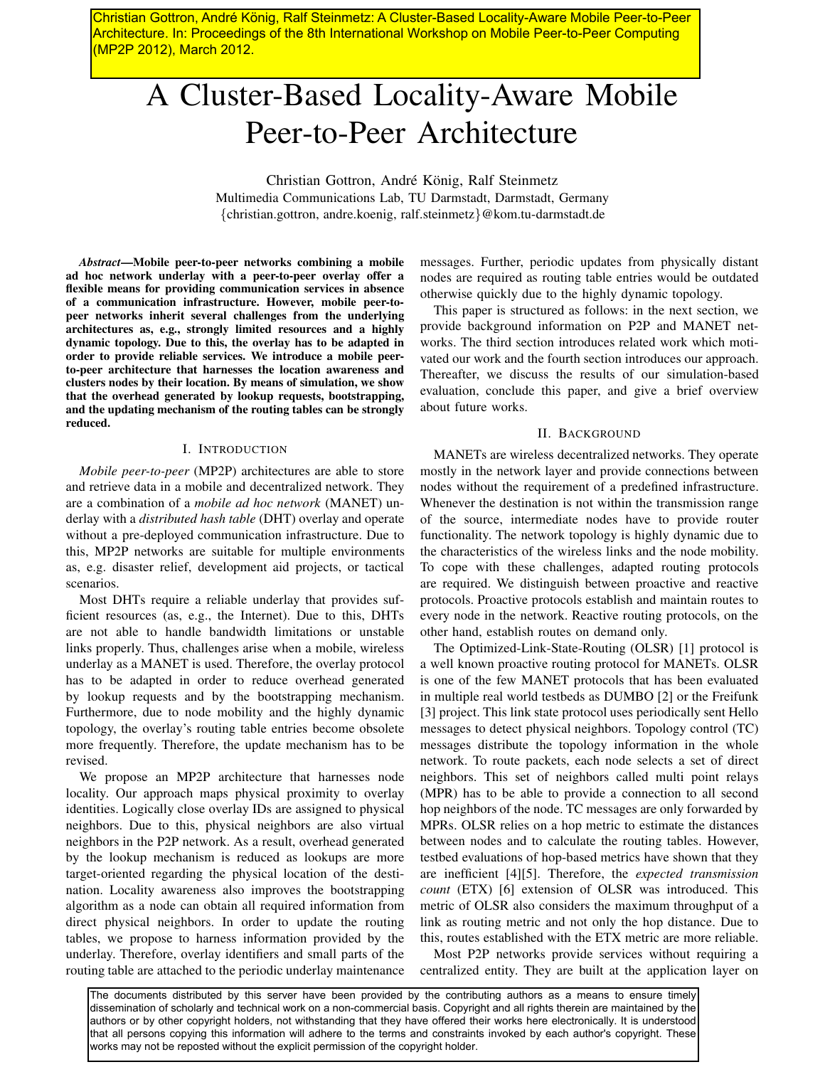Christian Gottron, André König, Ralf Steinmetz: A Cluster-Based Locality-Aware Mobile Peer-to-Peer Architecture. In: Proceedings of the 8th International Workshop on Mobile Peer-to-Peer Computing (MP2P 2012), March 2012.

# A Cluster-Based Locality-Aware Mobile Peer-to-Peer Architecture

Christian Gottron, André König, Ralf Steinmetz Multimedia Communications Lab, TU Darmstadt, Darmstadt, Germany *{*christian.gottron, andre.koenig, ralf.steinmetz*}*@kom.tu-darmstadt.de

*Abstract***—Mobile peer-to-peer networks combining a mobile ad hoc network underlay with a peer-to-peer overlay offer a flexible means for providing communication services in absence of a communication infrastructure. However, mobile peer-topeer networks inherit several challenges from the underlying architectures as, e.g., strongly limited resources and a highly dynamic topology. Due to this, the overlay has to be adapted in order to provide reliable services. We introduce a mobile peerto-peer architecture that harnesses the location awareness and clusters nodes by their location. By means of simulation, we show that the overhead generated by lookup requests, bootstrapping, and the updating mechanism of the routing tables can be strongly reduced.**

## I. INTRODUCTION

*Mobile peer-to-peer* (MP2P) architectures are able to store and retrieve data in a mobile and decentralized network. They are a combination of a *mobile ad hoc network* (MANET) underlay with a *distributed hash table* (DHT) overlay and operate without a pre-deployed communication infrastructure. Due to this, MP2P networks are suitable for multiple environments as, e.g. disaster relief, development aid projects, or tactical scenarios.

Most DHTs require a reliable underlay that provides sufficient resources (as, e.g., the Internet). Due to this, DHTs are not able to handle bandwidth limitations or unstable links properly. Thus, challenges arise when a mobile, wireless underlay as a MANET is used. Therefore, the overlay protocol has to be adapted in order to reduce overhead generated by lookup requests and by the bootstrapping mechanism. Furthermore, due to node mobility and the highly dynamic topology, the overlay's routing table entries become obsolete more frequently. Therefore, the update mechanism has to be revised.

We propose an MP2P architecture that harnesses node locality. Our approach maps physical proximity to overlay identities. Logically close overlay IDs are assigned to physical neighbors. Due to this, physical neighbors are also virtual neighbors in the P2P network. As a result, overhead generated by the lookup mechanism is reduced as lookups are more target-oriented regarding the physical location of the destination. Locality awareness also improves the bootstrapping algorithm as a node can obtain all required information from direct physical neighbors. In order to update the routing tables, we propose to harness information provided by the underlay. Therefore, overlay identifiers and small parts of the routing table are attached to the periodic underlay maintenance

messages. Further, periodic updates from physically distant nodes are required as routing table entries would be outdated otherwise quickly due to the highly dynamic topology.

This paper is structured as follows: in the next section, we provide background information on P2P and MANET networks. The third section introduces related work which motivated our work and the fourth section introduces our approach. Thereafter, we discuss the results of our simulation-based evaluation, conclude this paper, and give a brief overview about future works.

### II. BACKGROUND

MANETs are wireless decentralized networks. They operate mostly in the network layer and provide connections between nodes without the requirement of a predefined infrastructure. Whenever the destination is not within the transmission range of the source, intermediate nodes have to provide router functionality. The network topology is highly dynamic due to the characteristics of the wireless links and the node mobility. To cope with these challenges, adapted routing protocols are required. We distinguish between proactive and reactive protocols. Proactive protocols establish and maintain routes to every node in the network. Reactive routing protocols, on the other hand, establish routes on demand only.

The Optimized-Link-State-Routing (OLSR) [1] protocol is a well known proactive routing protocol for MANETs. OLSR is one of the few MANET protocols that has been evaluated in multiple real world testbeds as DUMBO [2] or the Freifunk [3] project. This link state protocol uses periodically sent Hello messages to detect physical neighbors. Topology control (TC) messages distribute the topology information in the whole network. To route packets, each node selects a set of direct neighbors. This set of neighbors called multi point relays (MPR) has to be able to provide a connection to all second hop neighbors of the node. TC messages are only forwarded by MPRs. OLSR relies on a hop metric to estimate the distances between nodes and to calculate the routing tables. However, testbed evaluations of hop-based metrics have shown that they are inefficient [4][5]. Therefore, the *expected transmission count* (ETX) [6] extension of OLSR was introduced. This metric of OLSR also considers the maximum throughput of a link as routing metric and not only the hop distance. Due to this, routes established with the ETX metric are more reliable. Christian Gotto, André França. Christian Gotto André France Mobile Peer-to-Peer-to-Peer-to-Peer-to-Peer-to-Peer-<br>André França. Christian Gotto André França. Consideration Gotto André König, Ralf Steinmetz.<br>
A Cluster-Base

Most P2P networks provide services without requiring a centralized entity. They are built at the application layer on

The documents distributed by this server have been provided by the contributing authors as a means to ensure timely dissemination of scholarly and technical work on a non-commercial basis. Copyright and all rights therein are maintained by the authors or by other copyright holders, not withstanding that they have offered their works here electronically. It is understood that all persons copying this information will adhere to the terms and constraints invoked by each author's copyright. These works may not be reposted without the explicit permission of the copyright holder.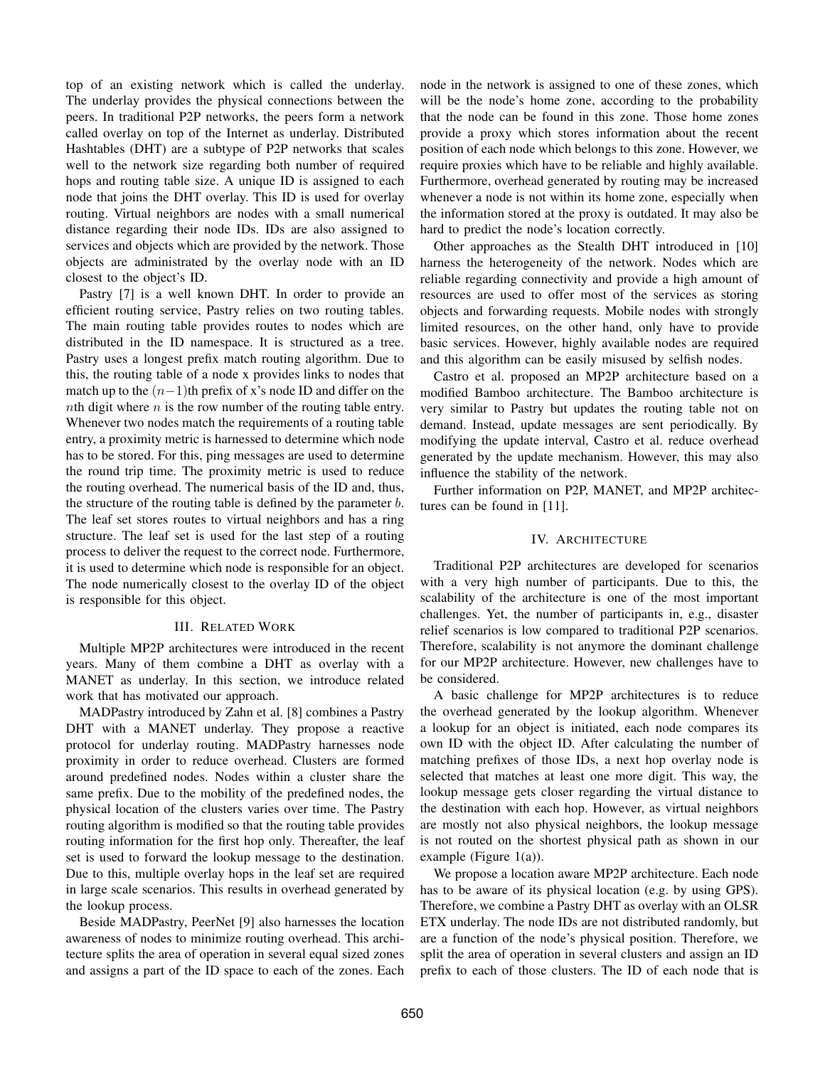top of an existing network which is called the underlay. The underlay provides the physical connections between the peers. In traditional P2P networks, the peers form a network called overlay on top of the Internet as underlay. Distributed Hashtables (DHT) are a subtype of P2P networks that scales well to the network size regarding both number of required hops and routing table size. A unique ID is assigned to each node that joins the DHT overlay. This ID is used for overlay routing. Virtual neighbors are nodes with a small numerical distance regarding their node IDs. IDs are also assigned to services and objects which are provided by the network. Those objects are administrated by the overlay node with an ID closest to the object's ID.

Pastry [7] is a well known DHT. In order to provide an efficient routing service, Pastry relies on two routing tables. The main routing table provides routes to nodes which are distributed in the ID namespace. It is structured as a tree. Pastry uses a longest prefix match routing algorithm. Due to this, the routing table of a node x provides links to nodes that match up to the (*n−*1)th prefix of x's node ID and differ on the *n*th digit where *n* is the row number of the routing table entry. Whenever two nodes match the requirements of a routing table entry, a proximity metric is harnessed to determine which node has to be stored. For this, ping messages are used to determine the round trip time. The proximity metric is used to reduce the routing overhead. The numerical basis of the ID and, thus, the structure of the routing table is defined by the parameter *b*. The leaf set stores routes to virtual neighbors and has a ring structure. The leaf set is used for the last step of a routing process to deliver the request to the correct node. Furthermore, it is used to determine which node is responsible for an object. The node numerically closest to the overlay ID of the object is responsible for this object.

#### III. RELATED WORK

Multiple MP2P architectures were introduced in the recent years. Many of them combine a DHT as overlay with a MANET as underlay. In this section, we introduce related work that has motivated our approach.

MADPastry introduced by Zahn et al. [8] combines a Pastry DHT with a MANET underlay. They propose a reactive protocol for underlay routing. MADPastry harnesses node proximity in order to reduce overhead. Clusters are formed around predefined nodes. Nodes within a cluster share the same prefix. Due to the mobility of the predefined nodes, the physical location of the clusters varies over time. The Pastry routing algorithm is modified so that the routing table provides routing information for the first hop only. Thereafter, the leaf set is used to forward the lookup message to the destination. Due to this, multiple overlay hops in the leaf set are required in large scale scenarios. This results in overhead generated by the lookup process.

Beside MADPastry, PeerNet [9] also harnesses the location awareness of nodes to minimize routing overhead. This architecture splits the area of operation in several equal sized zones and assigns a part of the ID space to each of the zones. Each node in the network is assigned to one of these zones, which will be the node's home zone, according to the probability that the node can be found in this zone. Those home zones provide a proxy which stores information about the recent position of each node which belongs to this zone. However, we require proxies which have to be reliable and highly available. Furthermore, overhead generated by routing may be increased whenever a node is not within its home zone, especially when the information stored at the proxy is outdated. It may also be hard to predict the node's location correctly.

Other approaches as the Stealth DHT introduced in [10] harness the heterogeneity of the network. Nodes which are reliable regarding connectivity and provide a high amount of resources are used to offer most of the services as storing objects and forwarding requests. Mobile nodes with strongly limited resources, on the other hand, only have to provide basic services. However, highly available nodes are required and this algorithm can be easily misused by selfish nodes.

Castro et al. proposed an MP2P architecture based on a modified Bamboo architecture. The Bamboo architecture is very similar to Pastry but updates the routing table not on demand. Instead, update messages are sent periodically. By modifying the update interval, Castro et al. reduce overhead generated by the update mechanism. However, this may also influence the stability of the network.

Further information on P2P, MANET, and MP2P architectures can be found in [11].

# IV. ARCHITECTURE

Traditional P2P architectures are developed for scenarios with a very high number of participants. Due to this, the scalability of the architecture is one of the most important challenges. Yet, the number of participants in, e.g., disaster relief scenarios is low compared to traditional P2P scenarios. Therefore, scalability is not anymore the dominant challenge for our MP2P architecture. However, new challenges have to be considered.

A basic challenge for MP2P architectures is to reduce the overhead generated by the lookup algorithm. Whenever a lookup for an object is initiated, each node compares its own ID with the object ID. After calculating the number of matching prefixes of those IDs, a next hop overlay node is selected that matches at least one more digit. This way, the lookup message gets closer regarding the virtual distance to the destination with each hop. However, as virtual neighbors are mostly not also physical neighbors, the lookup message is not routed on the shortest physical path as shown in our example (Figure 1(a)).

We propose a location aware MP2P architecture. Each node has to be aware of its physical location (e.g. by using GPS). Therefore, we combine a Pastry DHT as overlay with an OLSR ETX underlay. The node IDs are not distributed randomly, but are a function of the node's physical position. Therefore, we split the area of operation in several clusters and assign an ID prefix to each of those clusters. The ID of each node that is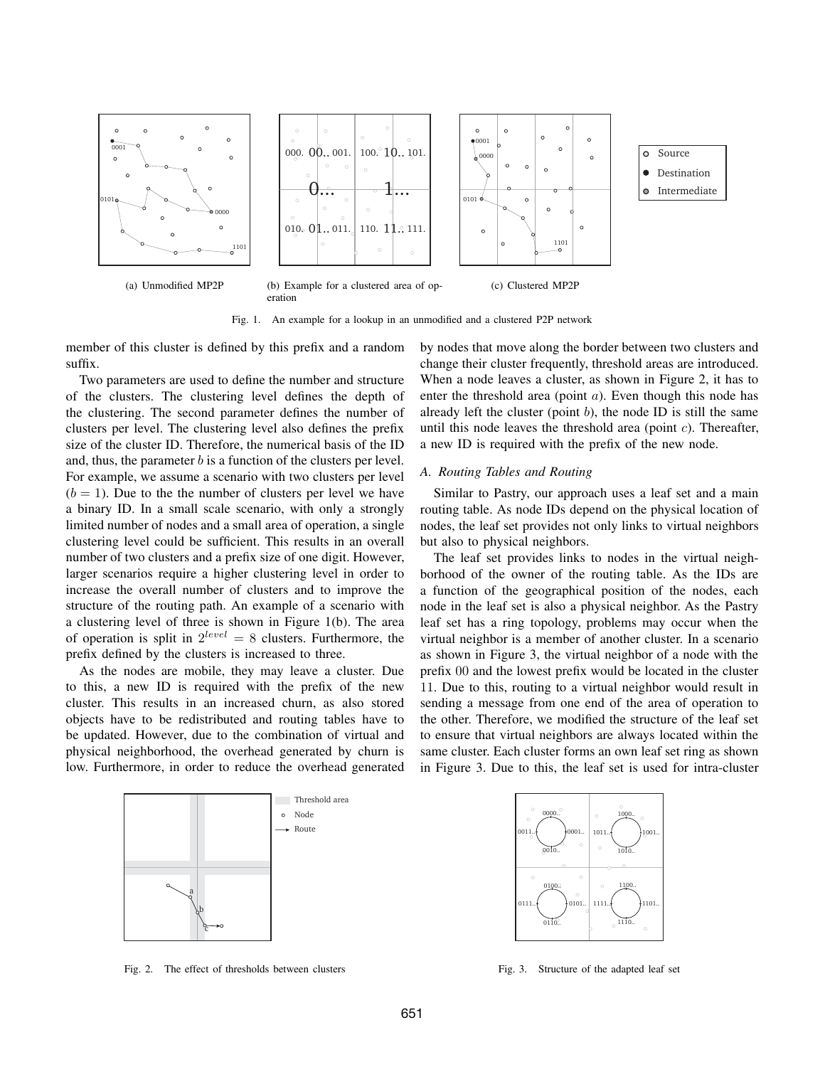

Fig. 1. An example for a lookup in an unmodified and a clustered P2P network

member of this cluster is defined by this prefix and a random suffix.

Two parameters are used to define the number and structure of the clusters. The clustering level defines the depth of the clustering. The second parameter defines the number of clusters per level. The clustering level also defines the prefix size of the cluster ID. Therefore, the numerical basis of the ID and, thus, the parameter *b* is a function of the clusters per level. For example, we assume a scenario with two clusters per level  $(b = 1)$ . Due to the the number of clusters per level we have a binary ID. In a small scale scenario, with only a strongly limited number of nodes and a small area of operation, a single clustering level could be sufficient. This results in an overall number of two clusters and a prefix size of one digit. However, larger scenarios require a higher clustering level in order to increase the overall number of clusters and to improve the structure of the routing path. An example of a scenario with a clustering level of three is shown in Figure 1(b). The area of operation is split in  $2^{level} = 8$  clusters. Furthermore, the prefix defined by the clusters is increased to three.

As the nodes are mobile, they may leave a cluster. Due to this, a new ID is required with the prefix of the new cluster. This results in an increased churn, as also stored objects have to be redistributed and routing tables have to be updated. However, due to the combination of virtual and physical neighborhood, the overhead generated by churn is low. Furthermore, in order to reduce the overhead generated

Threshold area

Node Route by nodes that move along the border between two clusters and change their cluster frequently, threshold areas are introduced. When a node leaves a cluster, as shown in Figure 2, it has to enter the threshold area (point *a*). Even though this node has already left the cluster (point *b*), the node ID is still the same until this node leaves the threshold area (point *c*). Thereafter, a new ID is required with the prefix of the new node.

# *A. Routing Tables and Routing*

Similar to Pastry, our approach uses a leaf set and a main routing table. As node IDs depend on the physical location of nodes, the leaf set provides not only links to virtual neighbors but also to physical neighbors.

The leaf set provides links to nodes in the virtual neighborhood of the owner of the routing table. As the IDs are a function of the geographical position of the nodes, each node in the leaf set is also a physical neighbor. As the Pastry leaf set has a ring topology, problems may occur when the virtual neighbor is a member of another cluster. In a scenario as shown in Figure 3, the virtual neighbor of a node with the prefix 00 and the lowest prefix would be located in the cluster 11. Due to this, routing to a virtual neighbor would result in sending a message from one end of the area of operation to the other. Therefore, we modified the structure of the leaf set to ensure that virtual neighbors are always located within the same cluster. Each cluster forms an own leaf set ring as shown in Figure 3. Due to this, the leaf set is used for intra-cluster



Fig. 3. Structure of the adapted leaf set

a b c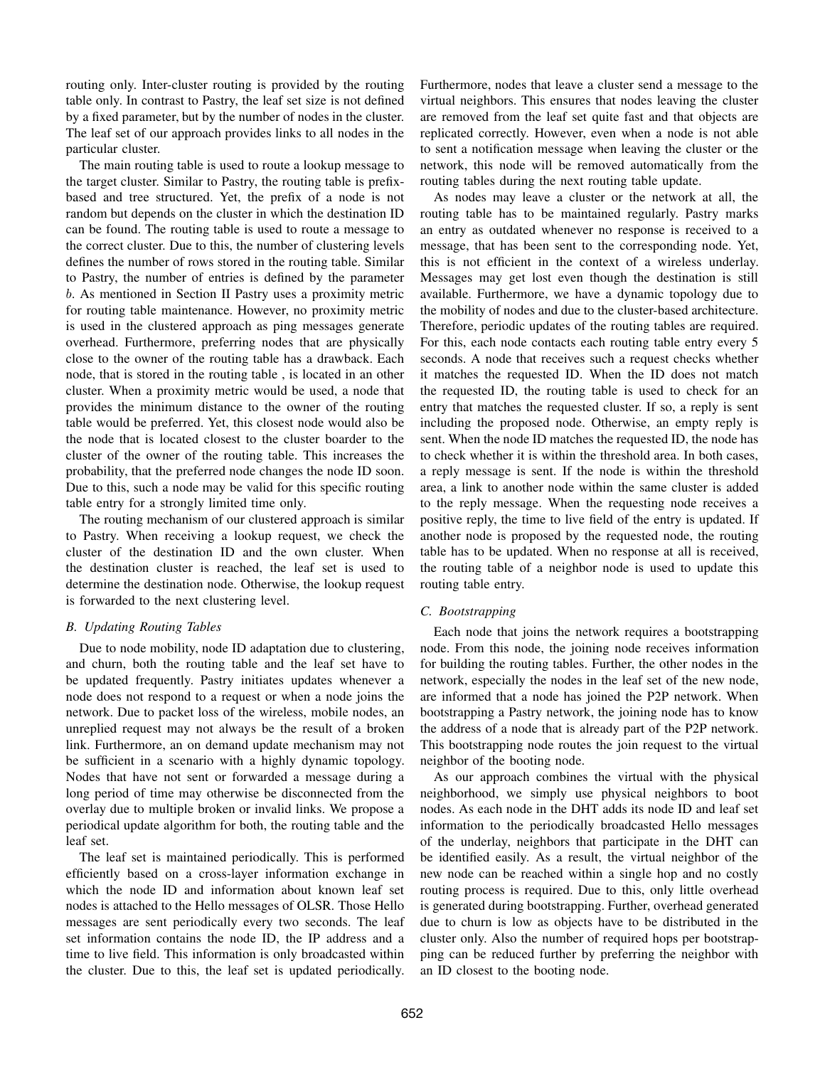routing only. Inter-cluster routing is provided by the routing table only. In contrast to Pastry, the leaf set size is not defined by a fixed parameter, but by the number of nodes in the cluster. The leaf set of our approach provides links to all nodes in the particular cluster.

The main routing table is used to route a lookup message to the target cluster. Similar to Pastry, the routing table is prefixbased and tree structured. Yet, the prefix of a node is not random but depends on the cluster in which the destination ID can be found. The routing table is used to route a message to the correct cluster. Due to this, the number of clustering levels defines the number of rows stored in the routing table. Similar to Pastry, the number of entries is defined by the parameter *b*. As mentioned in Section II Pastry uses a proximity metric for routing table maintenance. However, no proximity metric is used in the clustered approach as ping messages generate overhead. Furthermore, preferring nodes that are physically close to the owner of the routing table has a drawback. Each node, that is stored in the routing table , is located in an other cluster. When a proximity metric would be used, a node that provides the minimum distance to the owner of the routing table would be preferred. Yet, this closest node would also be the node that is located closest to the cluster boarder to the cluster of the owner of the routing table. This increases the probability, that the preferred node changes the node ID soon. Due to this, such a node may be valid for this specific routing table entry for a strongly limited time only.

The routing mechanism of our clustered approach is similar to Pastry. When receiving a lookup request, we check the cluster of the destination ID and the own cluster. When the destination cluster is reached, the leaf set is used to determine the destination node. Otherwise, the lookup request is forwarded to the next clustering level.

# *B. Updating Routing Tables*

Due to node mobility, node ID adaptation due to clustering, and churn, both the routing table and the leaf set have to be updated frequently. Pastry initiates updates whenever a node does not respond to a request or when a node joins the network. Due to packet loss of the wireless, mobile nodes, an unreplied request may not always be the result of a broken link. Furthermore, an on demand update mechanism may not be sufficient in a scenario with a highly dynamic topology. Nodes that have not sent or forwarded a message during a long period of time may otherwise be disconnected from the overlay due to multiple broken or invalid links. We propose a periodical update algorithm for both, the routing table and the leaf set.

The leaf set is maintained periodically. This is performed efficiently based on a cross-layer information exchange in which the node ID and information about known leaf set nodes is attached to the Hello messages of OLSR. Those Hello messages are sent periodically every two seconds. The leaf set information contains the node ID, the IP address and a time to live field. This information is only broadcasted within the cluster. Due to this, the leaf set is updated periodically.

Furthermore, nodes that leave a cluster send a message to the virtual neighbors. This ensures that nodes leaving the cluster are removed from the leaf set quite fast and that objects are replicated correctly. However, even when a node is not able to sent a notification message when leaving the cluster or the network, this node will be removed automatically from the routing tables during the next routing table update.

As nodes may leave a cluster or the network at all, the routing table has to be maintained regularly. Pastry marks an entry as outdated whenever no response is received to a message, that has been sent to the corresponding node. Yet, this is not efficient in the context of a wireless underlay. Messages may get lost even though the destination is still available. Furthermore, we have a dynamic topology due to the mobility of nodes and due to the cluster-based architecture. Therefore, periodic updates of the routing tables are required. For this, each node contacts each routing table entry every 5 seconds. A node that receives such a request checks whether it matches the requested ID. When the ID does not match the requested ID, the routing table is used to check for an entry that matches the requested cluster. If so, a reply is sent including the proposed node. Otherwise, an empty reply is sent. When the node ID matches the requested ID, the node has to check whether it is within the threshold area. In both cases, a reply message is sent. If the node is within the threshold area, a link to another node within the same cluster is added to the reply message. When the requesting node receives a positive reply, the time to live field of the entry is updated. If another node is proposed by the requested node, the routing table has to be updated. When no response at all is received, the routing table of a neighbor node is used to update this routing table entry.

# *C. Bootstrapping*

Each node that joins the network requires a bootstrapping node. From this node, the joining node receives information for building the routing tables. Further, the other nodes in the network, especially the nodes in the leaf set of the new node, are informed that a node has joined the P2P network. When bootstrapping a Pastry network, the joining node has to know the address of a node that is already part of the P2P network. This bootstrapping node routes the join request to the virtual neighbor of the booting node.

As our approach combines the virtual with the physical neighborhood, we simply use physical neighbors to boot nodes. As each node in the DHT adds its node ID and leaf set information to the periodically broadcasted Hello messages of the underlay, neighbors that participate in the DHT can be identified easily. As a result, the virtual neighbor of the new node can be reached within a single hop and no costly routing process is required. Due to this, only little overhead is generated during bootstrapping. Further, overhead generated due to churn is low as objects have to be distributed in the cluster only. Also the number of required hops per bootstrapping can be reduced further by preferring the neighbor with an ID closest to the booting node.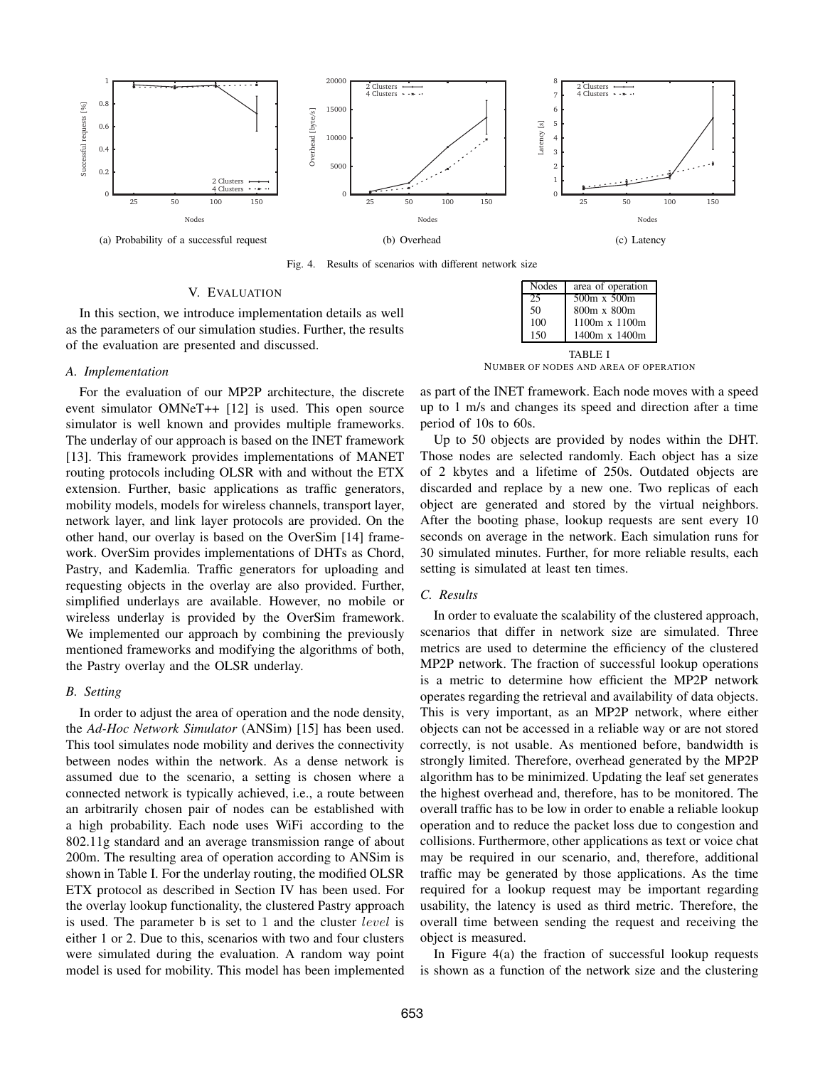

Fig. 4. Results of scenarios with different network size

#### V. EVALUATION

In this section, we introduce implementation details as well as the parameters of our simulation studies. Further, the results of the evaluation are presented and discussed.

#### *A. Implementation*

For the evaluation of our MP2P architecture, the discrete event simulator OMNeT++ [12] is used. This open source simulator is well known and provides multiple frameworks. The underlay of our approach is based on the INET framework [13]. This framework provides implementations of MANET routing protocols including OLSR with and without the ETX extension. Further, basic applications as traffic generators, mobility models, models for wireless channels, transport layer, network layer, and link layer protocols are provided. On the other hand, our overlay is based on the OverSim [14] framework. OverSim provides implementations of DHTs as Chord, Pastry, and Kademlia. Traffic generators for uploading and requesting objects in the overlay are also provided. Further, simplified underlays are available. However, no mobile or wireless underlay is provided by the OverSim framework. We implemented our approach by combining the previously mentioned frameworks and modifying the algorithms of both, the Pastry overlay and the OLSR underlay.

## *B. Setting*

In order to adjust the area of operation and the node density, the *Ad-Hoc Network Simulator* (ANSim) [15] has been used. This tool simulates node mobility and derives the connectivity between nodes within the network. As a dense network is assumed due to the scenario, a setting is chosen where a connected network is typically achieved, i.e., a route between an arbitrarily chosen pair of nodes can be established with a high probability. Each node uses WiFi according to the 802.11g standard and an average transmission range of about 200m. The resulting area of operation according to ANSim is shown in Table I. For the underlay routing, the modified OLSR ETX protocol as described in Section IV has been used. For the overlay lookup functionality, the clustered Pastry approach is used. The parameter b is set to 1 and the cluster *level* is either 1 or 2. Due to this, scenarios with two and four clusters were simulated during the evaluation. A random way point model is used for mobility. This model has been implemented

| <b>Nodes</b> | area of operation    |  |
|--------------|----------------------|--|
| 25           | $500m \times 500m$   |  |
| 50           | 800m x 800m          |  |
| 100          | $1100m \times 1100m$ |  |
| 150          | 1400m x 1400m        |  |
|              | TABLE I              |  |

NUMBER OF NODES AND AREA OF OPERATION

as part of the INET framework. Each node moves with a speed up to 1 m/s and changes its speed and direction after a time period of 10s to 60s.

Up to 50 objects are provided by nodes within the DHT. Those nodes are selected randomly. Each object has a size of 2 kbytes and a lifetime of 250s. Outdated objects are discarded and replace by a new one. Two replicas of each object are generated and stored by the virtual neighbors. After the booting phase, lookup requests are sent every 10 seconds on average in the network. Each simulation runs for 30 simulated minutes. Further, for more reliable results, each setting is simulated at least ten times.

## *C. Results*

In order to evaluate the scalability of the clustered approach, scenarios that differ in network size are simulated. Three metrics are used to determine the efficiency of the clustered MP2P network. The fraction of successful lookup operations is a metric to determine how efficient the MP2P network operates regarding the retrieval and availability of data objects. This is very important, as an MP2P network, where either objects can not be accessed in a reliable way or are not stored correctly, is not usable. As mentioned before, bandwidth is strongly limited. Therefore, overhead generated by the MP2P algorithm has to be minimized. Updating the leaf set generates the highest overhead and, therefore, has to be monitored. The overall traffic has to be low in order to enable a reliable lookup operation and to reduce the packet loss due to congestion and collisions. Furthermore, other applications as text or voice chat may be required in our scenario, and, therefore, additional traffic may be generated by those applications. As the time required for a lookup request may be important regarding usability, the latency is used as third metric. Therefore, the overall time between sending the request and receiving the object is measured.

In Figure 4(a) the fraction of successful lookup requests is shown as a function of the network size and the clustering